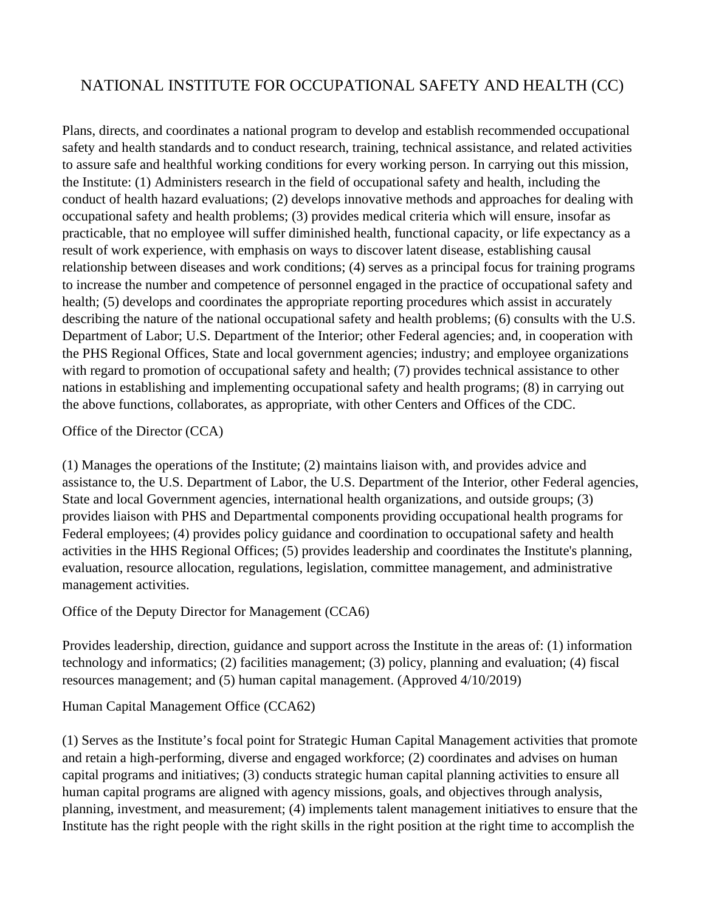# NATIONAL INSTITUTE FOR OCCUPATIONAL SAFETY AND HEALTH (CC)

Plans, directs, and coordinates a national program to develop and establish recommended occupational safety and health standards and to conduct research, training, technical assistance, and related activities to assure safe and healthful working conditions for every working person. In carrying out this mission, the Institute: (1) Administers research in the field of occupational safety and health, including the conduct of health hazard evaluations; (2) develops innovative methods and approaches for dealing with occupational safety and health problems; (3) provides medical criteria which will ensure, insofar as practicable, that no employee will suffer diminished health, functional capacity, or life expectancy as a result of work experience, with emphasis on ways to discover latent disease, establishing causal relationship between diseases and work conditions; (4) serves as a principal focus for training programs to increase the number and competence of personnel engaged in the practice of occupational safety and health; (5) develops and coordinates the appropriate reporting procedures which assist in accurately describing the nature of the national occupational safety and health problems; (6) consults with the U.S. Department of Labor; U.S. Department of the Interior; other Federal agencies; and, in cooperation with the PHS Regional Offices, State and local government agencies; industry; and employee organizations with regard to promotion of occupational safety and health; (7) provides technical assistance to other nations in establishing and implementing occupational safety and health programs; (8) in carrying out the above functions, collaborates, as appropriate, with other Centers and Offices of the CDC.

Office of the Director (CCA)

(1) Manages the operations of the Institute; (2) maintains liaison with, and provides advice and assistance to, the U.S. Department of Labor, the U.S. Department of the Interior, other Federal agencies, State and local Government agencies, international health organizations, and outside groups; (3) provides liaison with PHS and Departmental components providing occupational health programs for Federal employees; (4) provides policy guidance and coordination to occupational safety and health activities in the HHS Regional Offices; (5) provides leadership and coordinates the Institute's planning, evaluation, resource allocation, regulations, legislation, committee management, and administrative management activities.

Office of the Deputy Director for Management (CCA6)

Provides leadership, direction, guidance and support across the Institute in the areas of: (1) information technology and informatics; (2) facilities management; (3) policy, planning and evaluation; (4) fiscal resources management; and (5) human capital management. (Approved 4/10/2019)

Human Capital Management Office (CCA62)

(1) Serves as the Institute's focal point for Strategic Human Capital Management activities that promote and retain a high-performing, diverse and engaged workforce; (2) coordinates and advises on human capital programs and initiatives; (3) conducts strategic human capital planning activities to ensure all human capital programs are aligned with agency missions, goals, and objectives through analysis, planning, investment, and measurement; (4) implements talent management initiatives to ensure that the Institute has the right people with the right skills in the right position at the right time to accomplish the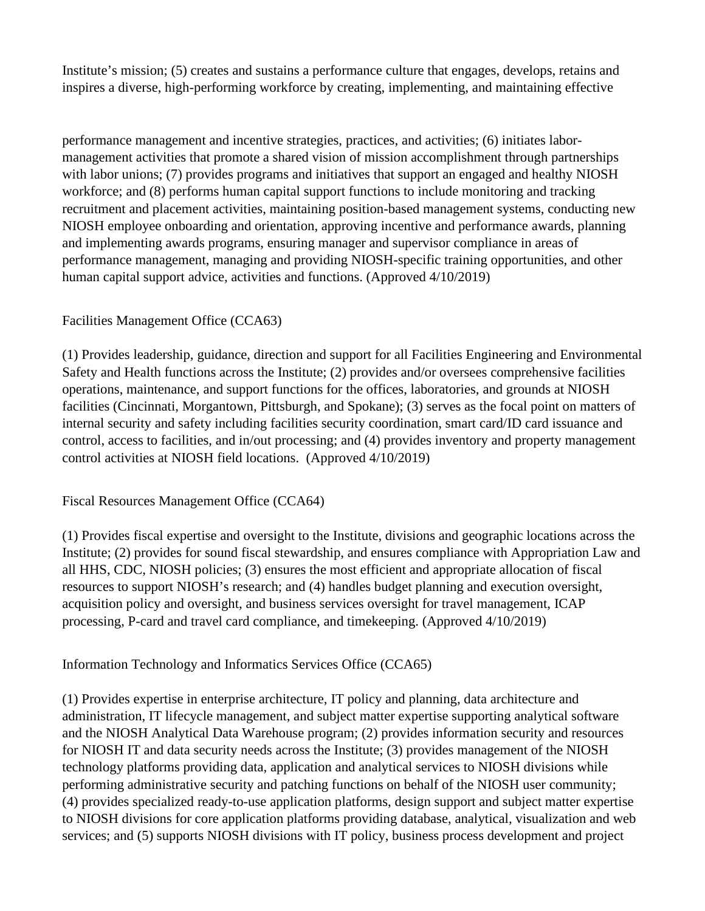Institute's mission; (5) creates and sustains a performance culture that engages, develops, retains and inspires a diverse, high-performing workforce by creating, implementing, and maintaining effective

performance management and incentive strategies, practices, and activities; (6) initiates labormanagement activities that promote a shared vision of mission accomplishment through partnerships with labor unions; (7) provides programs and initiatives that support an engaged and healthy NIOSH workforce; and (8) performs human capital support functions to include monitoring and tracking recruitment and placement activities, maintaining position-based management systems, conducting new NIOSH employee onboarding and orientation, approving incentive and performance awards, planning and implementing awards programs, ensuring manager and supervisor compliance in areas of performance management, managing and providing NIOSH-specific training opportunities, and other human capital support advice, activities and functions. (Approved 4/10/2019)

## Facilities Management Office (CCA63)

(1) Provides leadership, guidance, direction and support for all Facilities Engineering and Environmental Safety and Health functions across the Institute; (2) provides and/or oversees comprehensive facilities operations, maintenance, and support functions for the offices, laboratories, and grounds at NIOSH facilities (Cincinnati, Morgantown, Pittsburgh, and Spokane); (3) serves as the focal point on matters of internal security and safety including facilities security coordination, smart card/ID card issuance and control, access to facilities, and in/out processing; and (4) provides inventory and property management control activities at NIOSH field locations. (Approved 4/10/2019)

Fiscal Resources Management Office (CCA64)

(1) Provides fiscal expertise and oversight to the Institute, divisions and geographic locations across the Institute; (2) provides for sound fiscal stewardship, and ensures compliance with Appropriation Law and all HHS, CDC, NIOSH policies; (3) ensures the most efficient and appropriate allocation of fiscal resources to support NIOSH's research; and (4) handles budget planning and execution oversight, acquisition policy and oversight, and business services oversight for travel management, ICAP processing, P-card and travel card compliance, and timekeeping. (Approved 4/10/2019)

Information Technology and Informatics Services Office (CCA65)

(1) Provides expertise in enterprise architecture, IT policy and planning, data architecture and administration, IT lifecycle management, and subject matter expertise supporting analytical software and the NIOSH Analytical Data Warehouse program; (2) provides information security and resources for NIOSH IT and data security needs across the Institute; (3) provides management of the NIOSH technology platforms providing data, application and analytical services to NIOSH divisions while performing administrative security and patching functions on behalf of the NIOSH user community; (4) provides specialized ready-to-use application platforms, design support and subject matter expertise to NIOSH divisions for core application platforms providing database, analytical, visualization and web services; and (5) supports NIOSH divisions with IT policy, business process development and project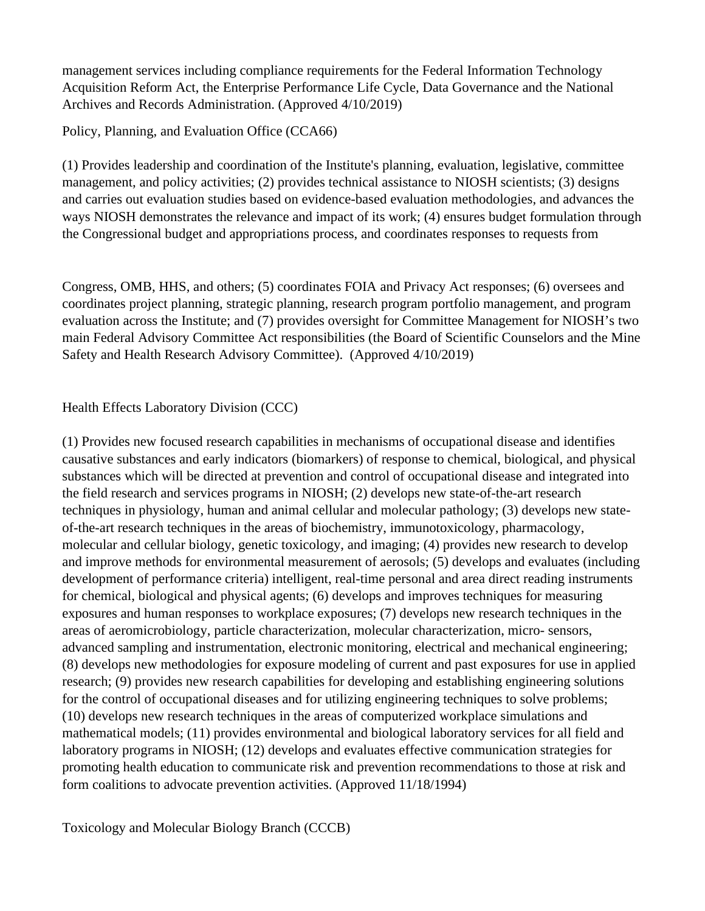management services including compliance requirements for the Federal Information Technology Acquisition Reform Act, the Enterprise Performance Life Cycle, Data Governance and the National Archives and Records Administration. (Approved 4/10/2019)

Policy, Planning, and Evaluation Office (CCA66)

(1) Provides leadership and coordination of the Institute's planning, evaluation, legislative, committee management, and policy activities; (2) provides technical assistance to NIOSH scientists; (3) designs and carries out evaluation studies based on evidence-based evaluation methodologies, and advances the ways NIOSH demonstrates the relevance and impact of its work; (4) ensures budget formulation through the Congressional budget and appropriations process, and coordinates responses to requests from

Congress, OMB, HHS, and others; (5) coordinates FOIA and Privacy Act responses; (6) oversees and coordinates project planning, strategic planning, research program portfolio management, and program evaluation across the Institute; and (7) provides oversight for Committee Management for NIOSH's two main Federal Advisory Committee Act responsibilities (the Board of Scientific Counselors and the Mine Safety and Health Research Advisory Committee). (Approved 4/10/2019)

Health Effects Laboratory Division (CCC)

(1) Provides new focused research capabilities in mechanisms of occupational disease and identifies causative substances and early indicators (biomarkers) of response to chemical, biological, and physical substances which will be directed at prevention and control of occupational disease and integrated into the field research and services programs in NIOSH; (2) develops new state-of-the-art research techniques in physiology, human and animal cellular and molecular pathology; (3) develops new stateof-the-art research techniques in the areas of biochemistry, immunotoxicology, pharmacology, molecular and cellular biology, genetic toxicology, and imaging; (4) provides new research to develop and improve methods for environmental measurement of aerosols; (5) develops and evaluates (including development of performance criteria) intelligent, real-time personal and area direct reading instruments for chemical, biological and physical agents; (6) develops and improves techniques for measuring exposures and human responses to workplace exposures; (7) develops new research techniques in the areas of aeromicrobiology, particle characterization, molecular characterization, micro- sensors, advanced sampling and instrumentation, electronic monitoring, electrical and mechanical engineering; (8) develops new methodologies for exposure modeling of current and past exposures for use in applied research; (9) provides new research capabilities for developing and establishing engineering solutions for the control of occupational diseases and for utilizing engineering techniques to solve problems; (10) develops new research techniques in the areas of computerized workplace simulations and mathematical models; (11) provides environmental and biological laboratory services for all field and laboratory programs in NIOSH; (12) develops and evaluates effective communication strategies for promoting health education to communicate risk and prevention recommendations to those at risk and form coalitions to advocate prevention activities. (Approved 11/18/1994)

Toxicology and Molecular Biology Branch (CCCB)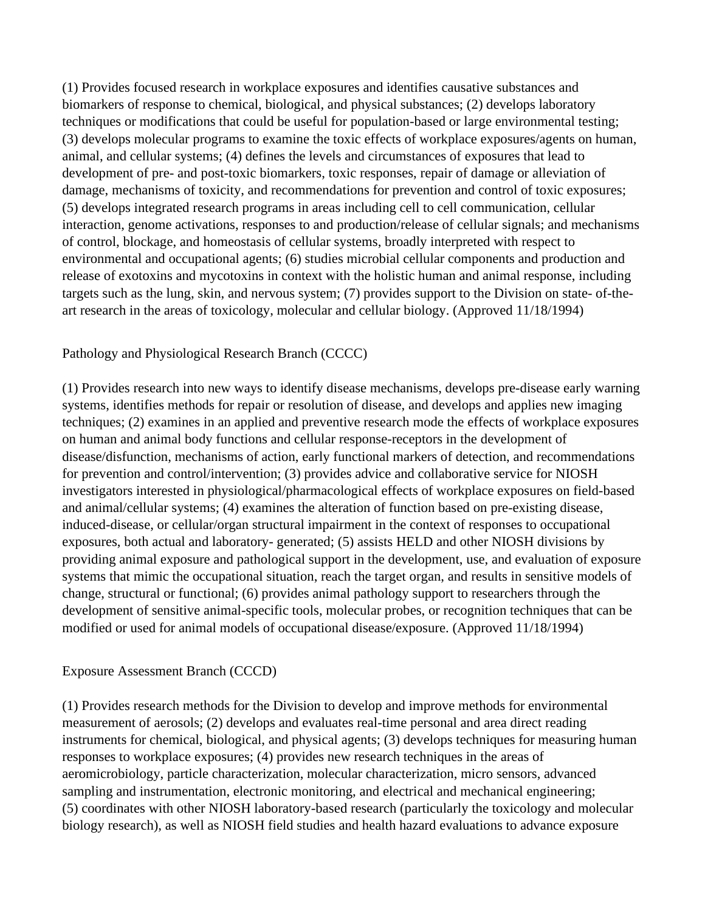(1) Provides focused research in workplace exposures and identifies causative substances and biomarkers of response to chemical, biological, and physical substances; (2) develops laboratory techniques or modifications that could be useful for population-based or large environmental testing; (3) develops molecular programs to examine the toxic effects of workplace exposures/agents on human, animal, and cellular systems; (4) defines the levels and circumstances of exposures that lead to development of pre- and post-toxic biomarkers, toxic responses, repair of damage or alleviation of damage, mechanisms of toxicity, and recommendations for prevention and control of toxic exposures; (5) develops integrated research programs in areas including cell to cell communication, cellular interaction, genome activations, responses to and production/release of cellular signals; and mechanisms of control, blockage, and homeostasis of cellular systems, broadly interpreted with respect to environmental and occupational agents; (6) studies microbial cellular components and production and release of exotoxins and mycotoxins in context with the holistic human and animal response, including targets such as the lung, skin, and nervous system; (7) provides support to the Division on state- of-theart research in the areas of toxicology, molecular and cellular biology. (Approved 11/18/1994)

### Pathology and Physiological Research Branch (CCCC)

(1) Provides research into new ways to identify disease mechanisms, develops pre-disease early warning systems, identifies methods for repair or resolution of disease, and develops and applies new imaging techniques; (2) examines in an applied and preventive research mode the effects of workplace exposures on human and animal body functions and cellular response-receptors in the development of disease/disfunction, mechanisms of action, early functional markers of detection, and recommendations for prevention and control/intervention; (3) provides advice and collaborative service for NIOSH investigators interested in physiological/pharmacological effects of workplace exposures on field-based and animal/cellular systems; (4) examines the alteration of function based on pre-existing disease, induced-disease, or cellular/organ structural impairment in the context of responses to occupational exposures, both actual and laboratory- generated; (5) assists HELD and other NIOSH divisions by providing animal exposure and pathological support in the development, use, and evaluation of exposure systems that mimic the occupational situation, reach the target organ, and results in sensitive models of change, structural or functional; (6) provides animal pathology support to researchers through the development of sensitive animal-specific tools, molecular probes, or recognition techniques that can be modified or used for animal models of occupational disease/exposure. (Approved 11/18/1994)

### Exposure Assessment Branch (CCCD)

(1) Provides research methods for the Division to develop and improve methods for environmental measurement of aerosols; (2) develops and evaluates real-time personal and area direct reading instruments for chemical, biological, and physical agents; (3) develops techniques for measuring human responses to workplace exposures; (4) provides new research techniques in the areas of aeromicrobiology, particle characterization, molecular characterization, micro sensors, advanced sampling and instrumentation, electronic monitoring, and electrical and mechanical engineering; (5) coordinates with other NIOSH laboratory-based research (particularly the toxicology and molecular biology research), as well as NIOSH field studies and health hazard evaluations to advance exposure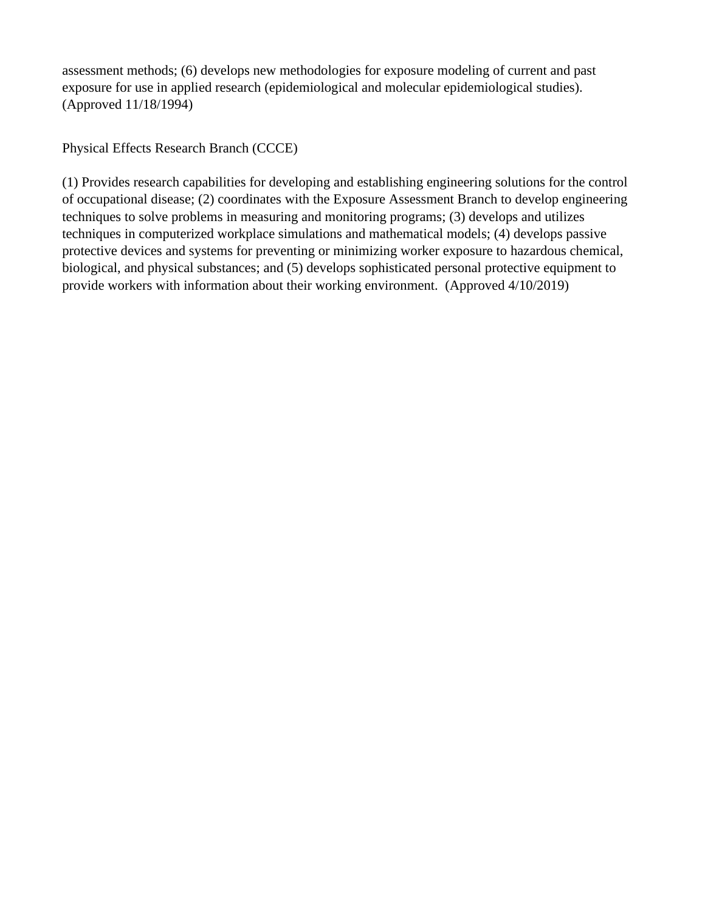assessment methods; (6) develops new methodologies for exposure modeling of current and past exposure for use in applied research (epidemiological and molecular epidemiological studies). (Approved 11/18/1994)

Physical Effects Research Branch (CCCE)

(1) Provides research capabilities for developing and establishing engineering solutions for the control of occupational disease; (2) coordinates with the Exposure Assessment Branch to develop engineering techniques to solve problems in measuring and monitoring programs; (3) develops and utilizes techniques in computerized workplace simulations and mathematical models; (4) develops passive protective devices and systems for preventing or minimizing worker exposure to hazardous chemical, biological, and physical substances; and (5) develops sophisticated personal protective equipment to provide workers with information about their working environment. (Approved 4/10/2019)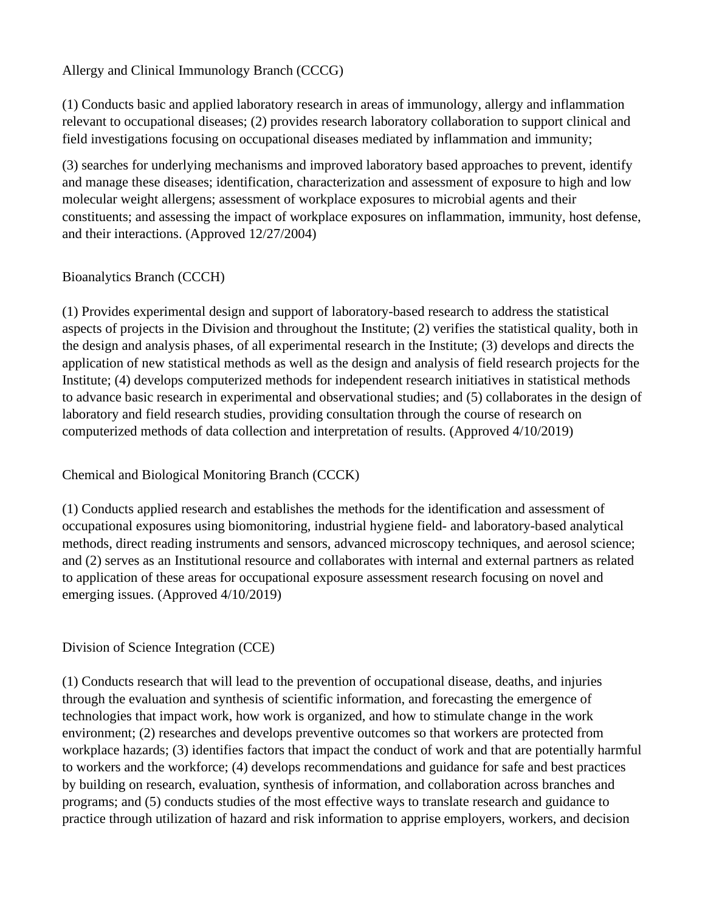Allergy and Clinical Immunology Branch (CCCG)

(1) Conducts basic and applied laboratory research in areas of immunology, allergy and inflammation relevant to occupational diseases; (2) provides research laboratory collaboration to support clinical and field investigations focusing on occupational diseases mediated by inflammation and immunity;

(3) searches for underlying mechanisms and improved laboratory based approaches to prevent, identify and manage these diseases; identification, characterization and assessment of exposure to high and low molecular weight allergens; assessment of workplace exposures to microbial agents and their constituents; and assessing the impact of workplace exposures on inflammation, immunity, host defense, and their interactions. (Approved 12/27/2004)

## Bioanalytics Branch (CCCH)

(1) Provides experimental design and support of laboratory-based research to address the statistical aspects of projects in the Division and throughout the Institute; (2) verifies the statistical quality, both in the design and analysis phases, of all experimental research in the Institute; (3) develops and directs the application of new statistical methods as well as the design and analysis of field research projects for the Institute; (4) develops computerized methods for independent research initiatives in statistical methods to advance basic research in experimental and observational studies; and (5) collaborates in the design of laboratory and field research studies, providing consultation through the course of research on computerized methods of data collection and interpretation of results. (Approved 4/10/2019)

Chemical and Biological Monitoring Branch (CCCK)

(1) Conducts applied research and establishes the methods for the identification and assessment of occupational exposures using biomonitoring, industrial hygiene field- and laboratory-based analytical methods, direct reading instruments and sensors, advanced microscopy techniques, and aerosol science; and (2) serves as an Institutional resource and collaborates with internal and external partners as related to application of these areas for occupational exposure assessment research focusing on novel and emerging issues. (Approved 4/10/2019)

### Division of Science Integration (CCE)

(1) Conducts research that will lead to the prevention of occupational disease, deaths, and injuries through the evaluation and synthesis of scientific information, and forecasting the emergence of technologies that impact work, how work is organized, and how to stimulate change in the work environment; (2) researches and develops preventive outcomes so that workers are protected from workplace hazards; (3) identifies factors that impact the conduct of work and that are potentially harmful to workers and the workforce; (4) develops recommendations and guidance for safe and best practices by building on research, evaluation, synthesis of information, and collaboration across branches and programs; and (5) conducts studies of the most effective ways to translate research and guidance to practice through utilization of hazard and risk information to apprise employers, workers, and decision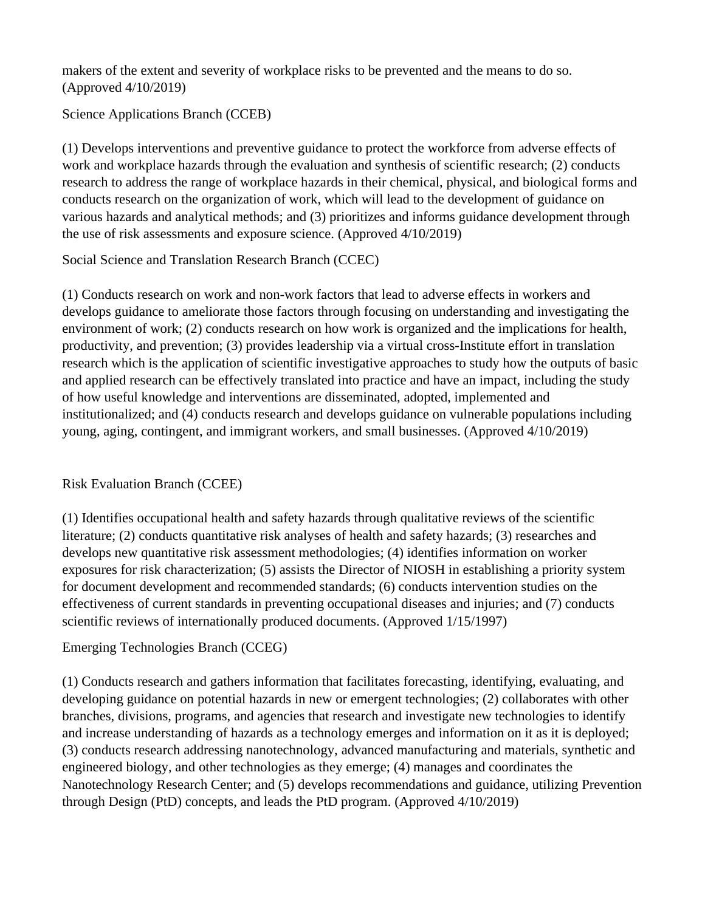makers of the extent and severity of workplace risks to be prevented and the means to do so. (Approved 4/10/2019)

Science Applications Branch (CCEB)

(1) Develops interventions and preventive guidance to protect the workforce from adverse effects of work and workplace hazards through the evaluation and synthesis of scientific research; (2) conducts research to address the range of workplace hazards in their chemical, physical, and biological forms and conducts research on the organization of work, which will lead to the development of guidance on various hazards and analytical methods; and (3) prioritizes and informs guidance development through the use of risk assessments and exposure science. (Approved 4/10/2019)

Social Science and Translation Research Branch (CCEC)

(1) Conducts research on work and non-work factors that lead to adverse effects in workers and develops guidance to ameliorate those factors through focusing on understanding and investigating the environment of work; (2) conducts research on how work is organized and the implications for health, productivity, and prevention; (3) provides leadership via a virtual cross-Institute effort in translation research which is the application of scientific investigative approaches to study how the outputs of basic and applied research can be effectively translated into practice and have an impact, including the study of how useful knowledge and interventions are disseminated, adopted, implemented and institutionalized; and (4) conducts research and develops guidance on vulnerable populations including young, aging, contingent, and immigrant workers, and small businesses. (Approved 4/10/2019)

# Risk Evaluation Branch (CCEE)

(1) Identifies occupational health and safety hazards through qualitative reviews of the scientific literature; (2) conducts quantitative risk analyses of health and safety hazards; (3) researches and develops new quantitative risk assessment methodologies; (4) identifies information on worker exposures for risk characterization; (5) assists the Director of NIOSH in establishing a priority system for document development and recommended standards; (6) conducts intervention studies on the effectiveness of current standards in preventing occupational diseases and injuries; and (7) conducts scientific reviews of internationally produced documents. (Approved 1/15/1997)

# Emerging Technologies Branch (CCEG)

(1) Conducts research and gathers information that facilitates forecasting, identifying, evaluating, and developing guidance on potential hazards in new or emergent technologies; (2) collaborates with other branches, divisions, programs, and agencies that research and investigate new technologies to identify and increase understanding of hazards as a technology emerges and information on it as it is deployed; (3) conducts research addressing nanotechnology, advanced manufacturing and materials, synthetic and engineered biology, and other technologies as they emerge; (4) manages and coordinates the Nanotechnology Research Center; and (5) develops recommendations and guidance, utilizing Prevention through Design (PtD) concepts, and leads the PtD program. (Approved 4/10/2019)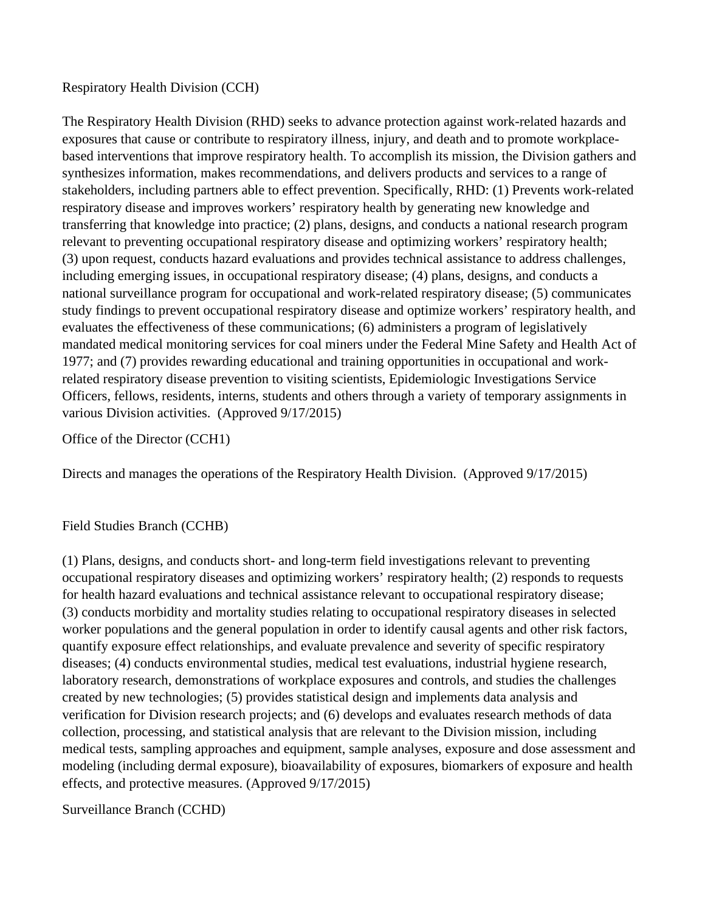#### Respiratory Health Division (CCH)

The Respiratory Health Division (RHD) seeks to advance protection against work-related hazards and exposures that cause or contribute to respiratory illness, injury, and death and to promote workplacebased interventions that improve respiratory health. To accomplish its mission, the Division gathers and synthesizes information, makes recommendations, and delivers products and services to a range of stakeholders, including partners able to effect prevention. Specifically, RHD: (1) Prevents work-related respiratory disease and improves workers' respiratory health by generating new knowledge and transferring that knowledge into practice; (2) plans, designs, and conducts a national research program relevant to preventing occupational respiratory disease and optimizing workers' respiratory health; (3) upon request, conducts hazard evaluations and provides technical assistance to address challenges, including emerging issues, in occupational respiratory disease; (4) plans, designs, and conducts a national surveillance program for occupational and work-related respiratory disease; (5) communicates study findings to prevent occupational respiratory disease and optimize workers' respiratory health, and evaluates the effectiveness of these communications; (6) administers a program of legislatively mandated medical monitoring services for coal miners under the Federal Mine Safety and Health Act of 1977; and (7) provides rewarding educational and training opportunities in occupational and workrelated respiratory disease prevention to visiting scientists, Epidemiologic Investigations Service Officers, fellows, residents, interns, students and others through a variety of temporary assignments in various Division activities. (Approved 9/17/2015)

Office of the Director (CCH1)

Directs and manages the operations of the Respiratory Health Division. (Approved 9/17/2015)

#### Field Studies Branch (CCHB)

(1) Plans, designs, and conducts short- and long-term field investigations relevant to preventing occupational respiratory diseases and optimizing workers' respiratory health; (2) responds to requests for health hazard evaluations and technical assistance relevant to occupational respiratory disease; (3) conducts morbidity and mortality studies relating to occupational respiratory diseases in selected worker populations and the general population in order to identify causal agents and other risk factors, quantify exposure effect relationships, and evaluate prevalence and severity of specific respiratory diseases; (4) conducts environmental studies, medical test evaluations, industrial hygiene research, laboratory research, demonstrations of workplace exposures and controls, and studies the challenges created by new technologies; (5) provides statistical design and implements data analysis and verification for Division research projects; and (6) develops and evaluates research methods of data collection, processing, and statistical analysis that are relevant to the Division mission, including medical tests, sampling approaches and equipment, sample analyses, exposure and dose assessment and modeling (including dermal exposure), bioavailability of exposures, biomarkers of exposure and health effects, and protective measures. (Approved 9/17/2015)

Surveillance Branch (CCHD)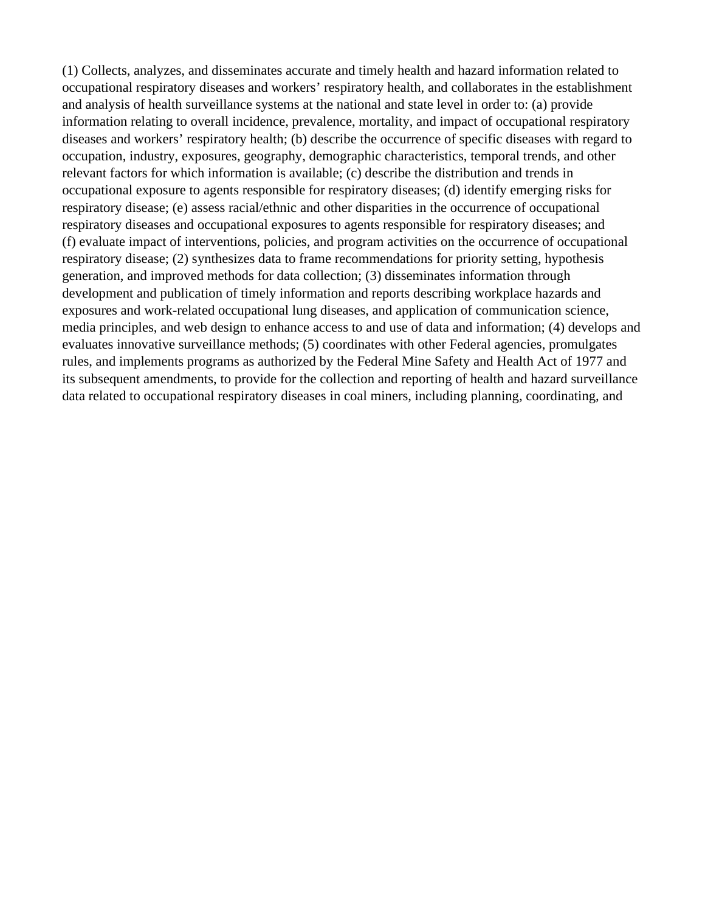(1) Collects, analyzes, and disseminates accurate and timely health and hazard information related to occupational respiratory diseases and workers' respiratory health, and collaborates in the establishment and analysis of health surveillance systems at the national and state level in order to: (a) provide information relating to overall incidence, prevalence, mortality, and impact of occupational respiratory diseases and workers' respiratory health; (b) describe the occurrence of specific diseases with regard to occupation, industry, exposures, geography, demographic characteristics, temporal trends, and other relevant factors for which information is available; (c) describe the distribution and trends in occupational exposure to agents responsible for respiratory diseases; (d) identify emerging risks for respiratory disease; (e) assess racial/ethnic and other disparities in the occurrence of occupational respiratory diseases and occupational exposures to agents responsible for respiratory diseases; and (f) evaluate impact of interventions, policies, and program activities on the occurrence of occupational respiratory disease; (2) synthesizes data to frame recommendations for priority setting, hypothesis generation, and improved methods for data collection; (3) disseminates information through development and publication of timely information and reports describing workplace hazards and exposures and work-related occupational lung diseases, and application of communication science, media principles, and web design to enhance access to and use of data and information; (4) develops and evaluates innovative surveillance methods; (5) coordinates with other Federal agencies, promulgates rules, and implements programs as authorized by the Federal Mine Safety and Health Act of 1977 and its subsequent amendments, to provide for the collection and reporting of health and hazard surveillance data related to occupational respiratory diseases in coal miners, including planning, coordinating, and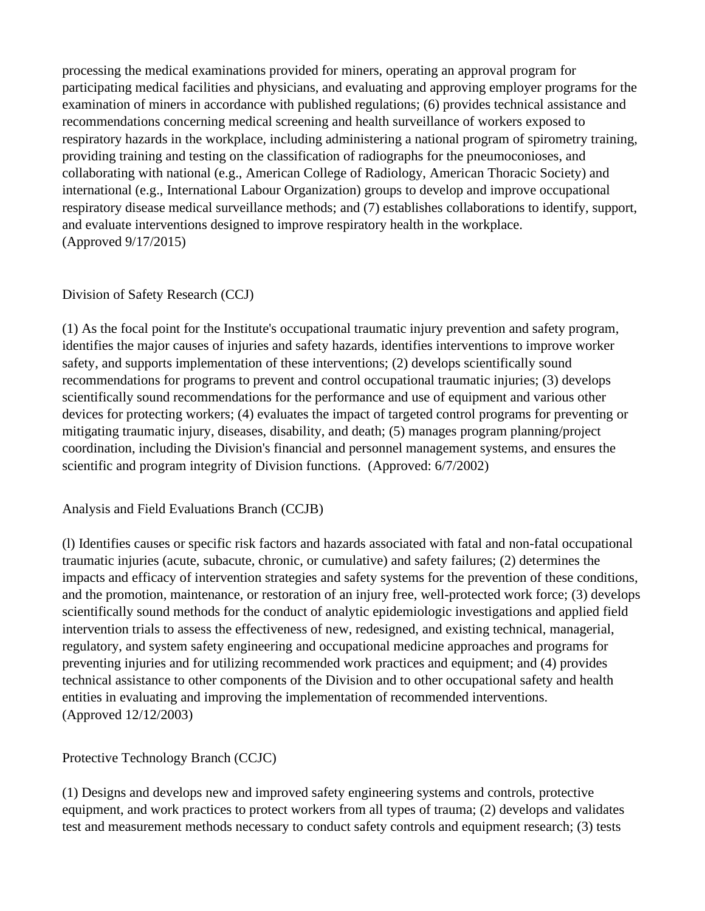processing the medical examinations provided for miners, operating an approval program for participating medical facilities and physicians, and evaluating and approving employer programs for the examination of miners in accordance with published regulations; (6) provides technical assistance and recommendations concerning medical screening and health surveillance of workers exposed to respiratory hazards in the workplace, including administering a national program of spirometry training, providing training and testing on the classification of radiographs for the pneumoconioses, and collaborating with national (e.g., American College of Radiology, American Thoracic Society) and international (e.g., International Labour Organization) groups to develop and improve occupational respiratory disease medical surveillance methods; and (7) establishes collaborations to identify, support, and evaluate interventions designed to improve respiratory health in the workplace. (Approved 9/17/2015)

## Division of Safety Research (CCJ)

(1) As the focal point for the Institute's occupational traumatic injury prevention and safety program, identifies the major causes of injuries and safety hazards, identifies interventions to improve worker safety, and supports implementation of these interventions; (2) develops scientifically sound recommendations for programs to prevent and control occupational traumatic injuries; (3) develops scientifically sound recommendations for the performance and use of equipment and various other devices for protecting workers; (4) evaluates the impact of targeted control programs for preventing or mitigating traumatic injury, diseases, disability, and death; (5) manages program planning/project coordination, including the Division's financial and personnel management systems, and ensures the scientific and program integrity of Division functions. (Approved: 6/7/2002)

Analysis and Field Evaluations Branch (CCJB)

(l) Identifies causes or specific risk factors and hazards associated with fatal and non-fatal occupational traumatic injuries (acute, subacute, chronic, or cumulative) and safety failures; (2) determines the impacts and efficacy of intervention strategies and safety systems for the prevention of these conditions, and the promotion, maintenance, or restoration of an injury free, well-protected work force; (3) develops scientifically sound methods for the conduct of analytic epidemiologic investigations and applied field intervention trials to assess the effectiveness of new, redesigned, and existing technical, managerial, regulatory, and system safety engineering and occupational medicine approaches and programs for preventing injuries and for utilizing recommended work practices and equipment; and (4) provides technical assistance to other components of the Division and to other occupational safety and health entities in evaluating and improving the implementation of recommended interventions. (Approved 12/12/2003)

# Protective Technology Branch (CCJC)

(1) Designs and develops new and improved safety engineering systems and controls, protective equipment, and work practices to protect workers from all types of trauma; (2) develops and validates test and measurement methods necessary to conduct safety controls and equipment research; (3) tests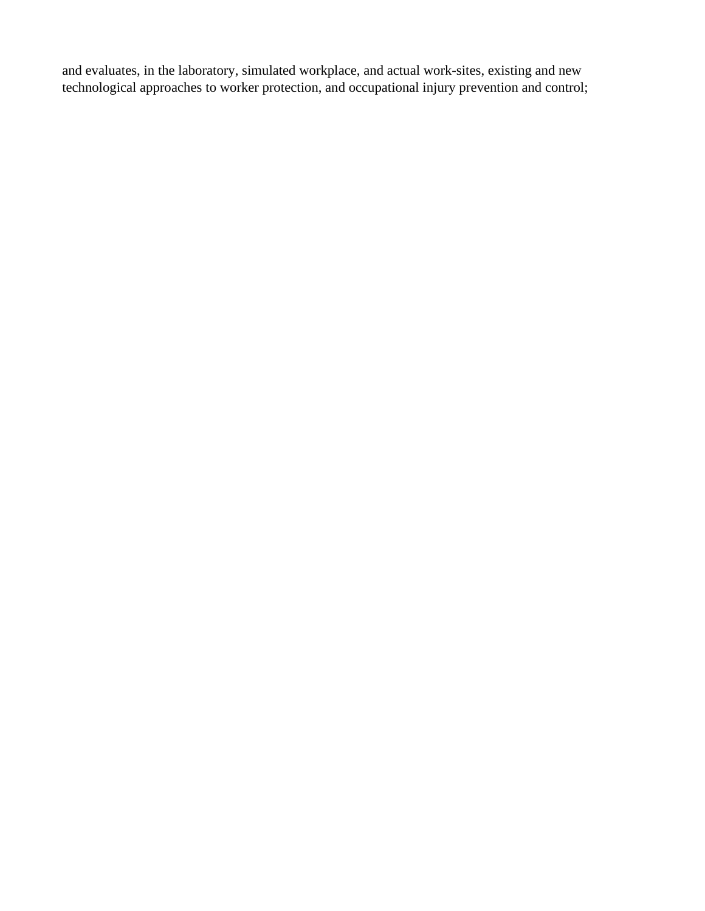and evaluates, in the laboratory, simulated workplace, and actual work-sites, existing and new technological approaches to worker protection, and occupational injury prevention and control;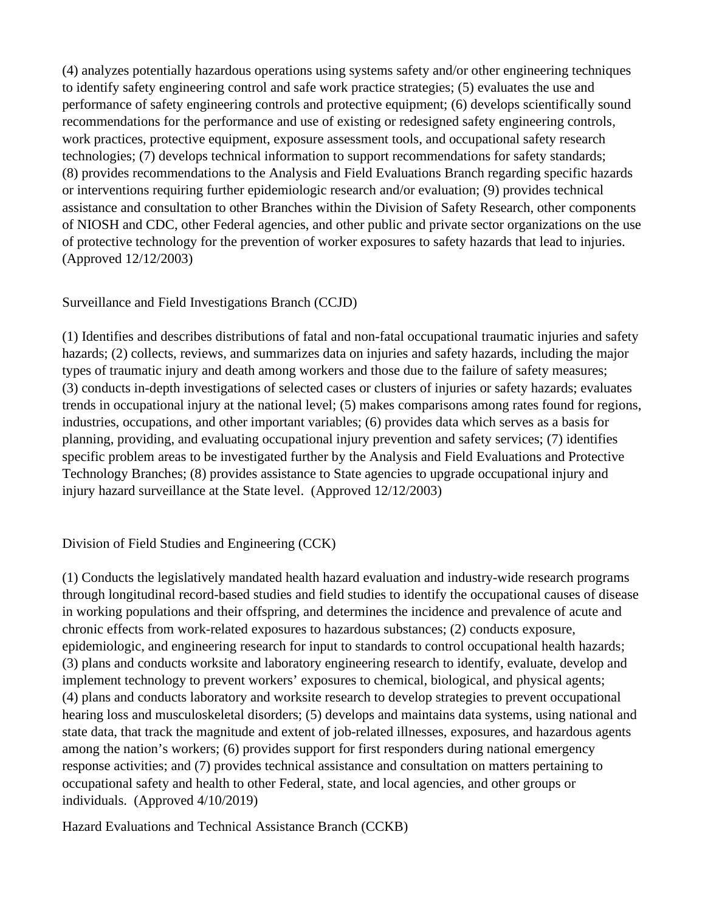(4) analyzes potentially hazardous operations using systems safety and/or other engineering techniques to identify safety engineering control and safe work practice strategies; (5) evaluates the use and performance of safety engineering controls and protective equipment; (6) develops scientifically sound recommendations for the performance and use of existing or redesigned safety engineering controls, work practices, protective equipment, exposure assessment tools, and occupational safety research technologies; (7) develops technical information to support recommendations for safety standards; (8) provides recommendations to the Analysis and Field Evaluations Branch regarding specific hazards or interventions requiring further epidemiologic research and/or evaluation; (9) provides technical assistance and consultation to other Branches within the Division of Safety Research, other components of NIOSH and CDC, other Federal agencies, and other public and private sector organizations on the use of protective technology for the prevention of worker exposures to safety hazards that lead to injuries. (Approved 12/12/2003)

### Surveillance and Field Investigations Branch (CCJD)

(1) Identifies and describes distributions of fatal and non-fatal occupational traumatic injuries and safety hazards; (2) collects, reviews, and summarizes data on injuries and safety hazards, including the major types of traumatic injury and death among workers and those due to the failure of safety measures; (3) conducts in-depth investigations of selected cases or clusters of injuries or safety hazards; evaluates trends in occupational injury at the national level; (5) makes comparisons among rates found for regions, industries, occupations, and other important variables; (6) provides data which serves as a basis for planning, providing, and evaluating occupational injury prevention and safety services; (7) identifies specific problem areas to be investigated further by the Analysis and Field Evaluations and Protective Technology Branches; (8) provides assistance to State agencies to upgrade occupational injury and injury hazard surveillance at the State level. (Approved 12/12/2003)

Division of Field Studies and Engineering (CCK)

(1) Conducts the legislatively mandated health hazard evaluation and industry-wide research programs through longitudinal record-based studies and field studies to identify the occupational causes of disease in working populations and their offspring, and determines the incidence and prevalence of acute and chronic effects from work-related exposures to hazardous substances; (2) conducts exposure, epidemiologic, and engineering research for input to standards to control occupational health hazards; (3) plans and conducts worksite and laboratory engineering research to identify, evaluate, develop and implement technology to prevent workers' exposures to chemical, biological, and physical agents; (4) plans and conducts laboratory and worksite research to develop strategies to prevent occupational hearing loss and musculoskeletal disorders; (5) develops and maintains data systems, using national and state data, that track the magnitude and extent of job-related illnesses, exposures, and hazardous agents among the nation's workers; (6) provides support for first responders during national emergency response activities; and (7) provides technical assistance and consultation on matters pertaining to occupational safety and health to other Federal, state, and local agencies, and other groups or individuals. (Approved 4/10/2019)

Hazard Evaluations and Technical Assistance Branch (CCKB)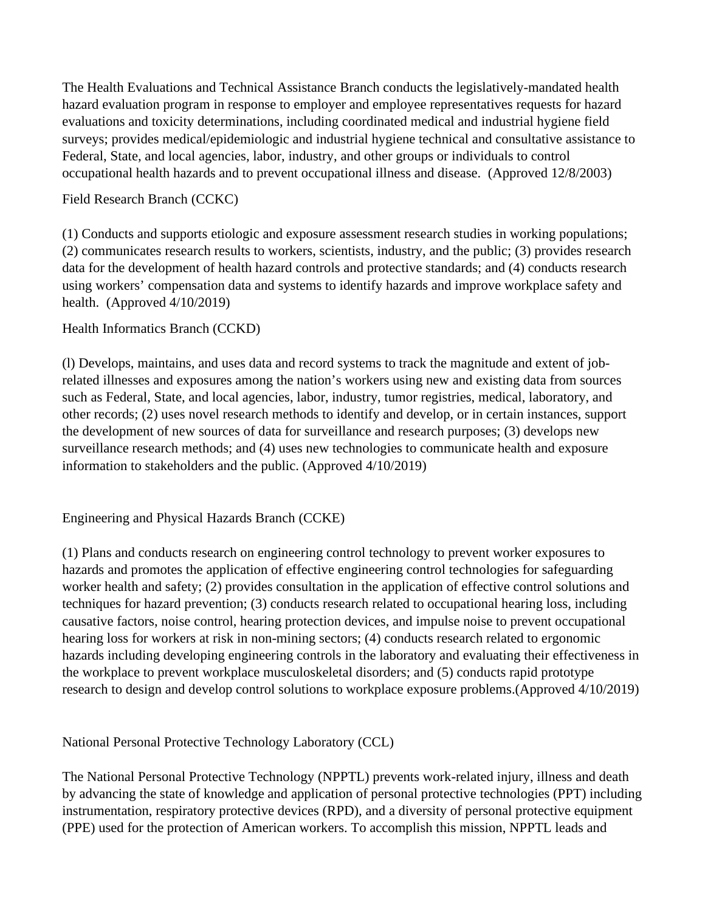The Health Evaluations and Technical Assistance Branch conducts the legislatively-mandated health hazard evaluation program in response to employer and employee representatives requests for hazard evaluations and toxicity determinations, including coordinated medical and industrial hygiene field surveys; provides medical/epidemiologic and industrial hygiene technical and consultative assistance to Federal, State, and local agencies, labor, industry, and other groups or individuals to control occupational health hazards and to prevent occupational illness and disease. (Approved 12/8/2003)

#### Field Research Branch (CCKC)

(1) Conducts and supports etiologic and exposure assessment research studies in working populations; (2) communicates research results to workers, scientists, industry, and the public; (3) provides research data for the development of health hazard controls and protective standards; and (4) conducts research using workers' compensation data and systems to identify hazards and improve workplace safety and health. (Approved 4/10/2019)

Health Informatics Branch (CCKD)

(l) Develops, maintains, and uses data and record systems to track the magnitude and extent of jobrelated illnesses and exposures among the nation's workers using new and existing data from sources such as Federal, State, and local agencies, labor, industry, tumor registries, medical, laboratory, and other records; (2) uses novel research methods to identify and develop, or in certain instances, support the development of new sources of data for surveillance and research purposes; (3) develops new surveillance research methods; and (4) uses new technologies to communicate health and exposure information to stakeholders and the public. (Approved 4/10/2019)

Engineering and Physical Hazards Branch (CCKE)

(1) Plans and conducts research on engineering control technology to prevent worker exposures to hazards and promotes the application of effective engineering control technologies for safeguarding worker health and safety; (2) provides consultation in the application of effective control solutions and techniques for hazard prevention; (3) conducts research related to occupational hearing loss, including causative factors, noise control, hearing protection devices, and impulse noise to prevent occupational hearing loss for workers at risk in non-mining sectors; (4) conducts research related to ergonomic hazards including developing engineering controls in the laboratory and evaluating their effectiveness in the workplace to prevent workplace musculoskeletal disorders; and (5) conducts rapid prototype research to design and develop control solutions to workplace exposure problems.(Approved 4/10/2019)

National Personal Protective Technology Laboratory (CCL)

The National Personal Protective Technology (NPPTL) prevents work-related injury, illness and death by advancing the state of knowledge and application of personal protective technologies (PPT) including instrumentation, respiratory protective devices (RPD), and a diversity of personal protective equipment (PPE) used for the protection of American workers. To accomplish this mission, NPPTL leads and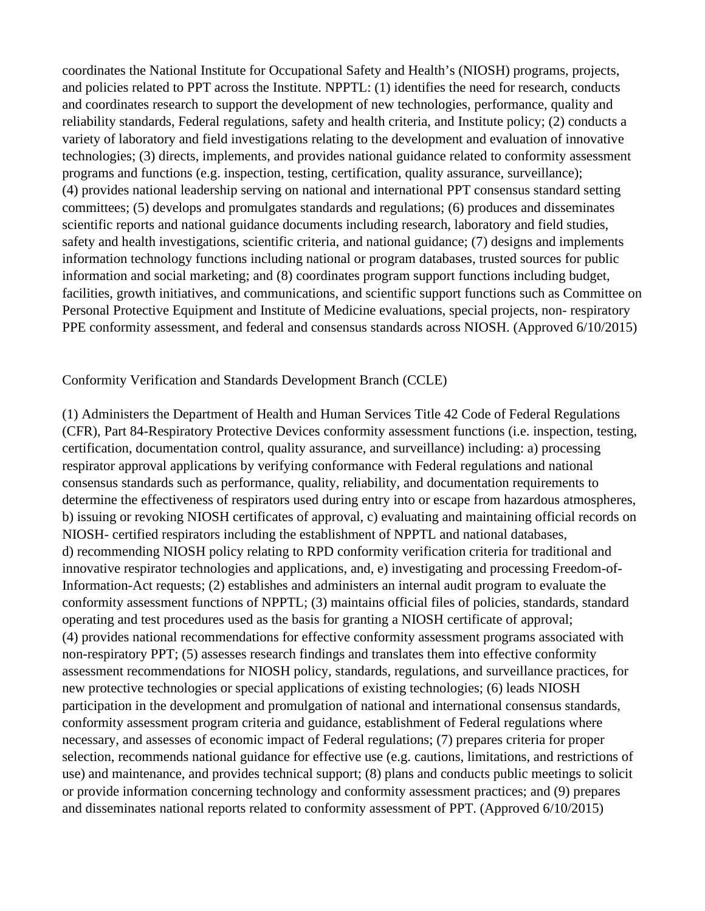coordinates the National Institute for Occupational Safety and Health's (NIOSH) programs, projects, and policies related to PPT across the Institute. NPPTL: (1) identifies the need for research, conducts and coordinates research to support the development of new technologies, performance, quality and reliability standards, Federal regulations, safety and health criteria, and Institute policy; (2) conducts a variety of laboratory and field investigations relating to the development and evaluation of innovative technologies; (3) directs, implements, and provides national guidance related to conformity assessment programs and functions (e.g. inspection, testing, certification, quality assurance, surveillance); (4) provides national leadership serving on national and international PPT consensus standard setting committees; (5) develops and promulgates standards and regulations; (6) produces and disseminates scientific reports and national guidance documents including research, laboratory and field studies, safety and health investigations, scientific criteria, and national guidance; (7) designs and implements information technology functions including national or program databases, trusted sources for public information and social marketing; and (8) coordinates program support functions including budget, facilities, growth initiatives, and communications, and scientific support functions such as Committee on Personal Protective Equipment and Institute of Medicine evaluations, special projects, non- respiratory PPE conformity assessment, and federal and consensus standards across NIOSH. (Approved 6/10/2015)

Conformity Verification and Standards Development Branch (CCLE)

(1) Administers the Department of Health and Human Services Title 42 Code of Federal Regulations (CFR), Part 84-Respiratory Protective Devices conformity assessment functions (i.e. inspection, testing, certification, documentation control, quality assurance, and surveillance) including: a) processing respirator approval applications by verifying conformance with Federal regulations and national consensus standards such as performance, quality, reliability, and documentation requirements to determine the effectiveness of respirators used during entry into or escape from hazardous atmospheres, b) issuing or revoking NIOSH certificates of approval, c) evaluating and maintaining official records on NIOSH- certified respirators including the establishment of NPPTL and national databases, d) recommending NIOSH policy relating to RPD conformity verification criteria for traditional and innovative respirator technologies and applications, and, e) investigating and processing Freedom-of-Information-Act requests; (2) establishes and administers an internal audit program to evaluate the conformity assessment functions of NPPTL; (3) maintains official files of policies, standards, standard operating and test procedures used as the basis for granting a NIOSH certificate of approval; (4) provides national recommendations for effective conformity assessment programs associated with non-respiratory PPT; (5) assesses research findings and translates them into effective conformity assessment recommendations for NIOSH policy, standards, regulations, and surveillance practices, for new protective technologies or special applications of existing technologies; (6) leads NIOSH participation in the development and promulgation of national and international consensus standards, conformity assessment program criteria and guidance, establishment of Federal regulations where necessary, and assesses of economic impact of Federal regulations; (7) prepares criteria for proper selection, recommends national guidance for effective use (e.g. cautions, limitations, and restrictions of use) and maintenance, and provides technical support; (8) plans and conducts public meetings to solicit or provide information concerning technology and conformity assessment practices; and (9) prepares and disseminates national reports related to conformity assessment of PPT. (Approved 6/10/2015)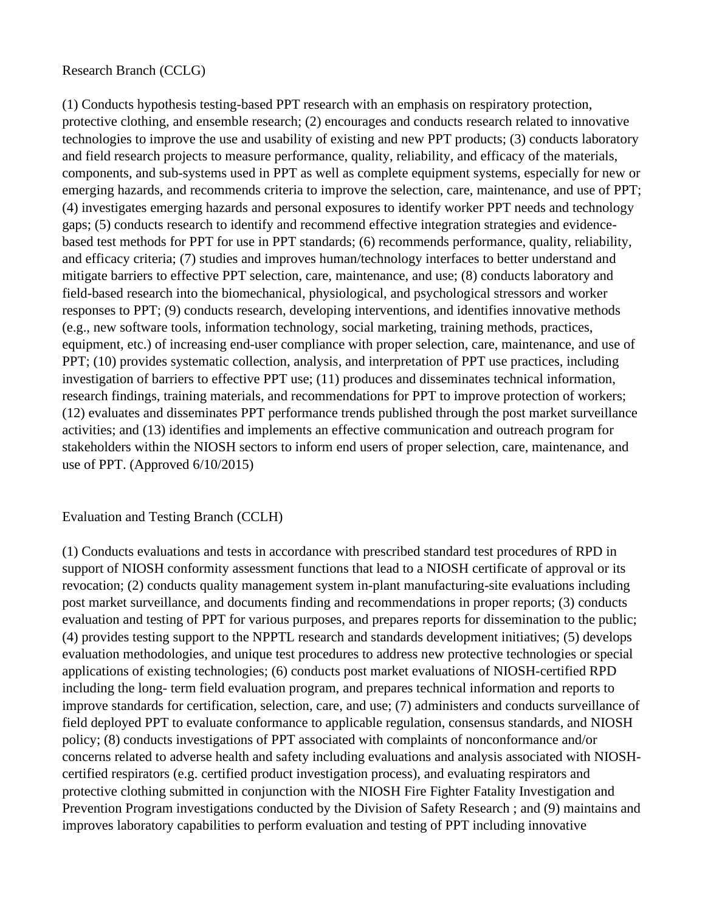#### Research Branch (CCLG)

(1) Conducts hypothesis testing-based PPT research with an emphasis on respiratory protection, protective clothing, and ensemble research; (2) encourages and conducts research related to innovative technologies to improve the use and usability of existing and new PPT products; (3) conducts laboratory and field research projects to measure performance, quality, reliability, and efficacy of the materials, components, and sub-systems used in PPT as well as complete equipment systems, especially for new or emerging hazards, and recommends criteria to improve the selection, care, maintenance, and use of PPT; (4) investigates emerging hazards and personal exposures to identify worker PPT needs and technology gaps; (5) conducts research to identify and recommend effective integration strategies and evidencebased test methods for PPT for use in PPT standards; (6) recommends performance, quality, reliability, and efficacy criteria; (7) studies and improves human/technology interfaces to better understand and mitigate barriers to effective PPT selection, care, maintenance, and use; (8) conducts laboratory and field-based research into the biomechanical, physiological, and psychological stressors and worker responses to PPT; (9) conducts research, developing interventions, and identifies innovative methods (e.g., new software tools, information technology, social marketing, training methods, practices, equipment, etc.) of increasing end-user compliance with proper selection, care, maintenance, and use of PPT; (10) provides systematic collection, analysis, and interpretation of PPT use practices, including investigation of barriers to effective PPT use; (11) produces and disseminates technical information, research findings, training materials, and recommendations for PPT to improve protection of workers; (12) evaluates and disseminates PPT performance trends published through the post market surveillance activities; and (13) identifies and implements an effective communication and outreach program for stakeholders within the NIOSH sectors to inform end users of proper selection, care, maintenance, and use of PPT. (Approved 6/10/2015)

#### Evaluation and Testing Branch (CCLH)

(1) Conducts evaluations and tests in accordance with prescribed standard test procedures of RPD in support of NIOSH conformity assessment functions that lead to a NIOSH certificate of approval or its revocation; (2) conducts quality management system in-plant manufacturing-site evaluations including post market surveillance, and documents finding and recommendations in proper reports; (3) conducts evaluation and testing of PPT for various purposes, and prepares reports for dissemination to the public; (4) provides testing support to the NPPTL research and standards development initiatives; (5) develops evaluation methodologies, and unique test procedures to address new protective technologies or special applications of existing technologies; (6) conducts post market evaluations of NIOSH-certified RPD including the long- term field evaluation program, and prepares technical information and reports to improve standards for certification, selection, care, and use; (7) administers and conducts surveillance of field deployed PPT to evaluate conformance to applicable regulation, consensus standards, and NIOSH policy; (8) conducts investigations of PPT associated with complaints of nonconformance and/or concerns related to adverse health and safety including evaluations and analysis associated with NIOSHcertified respirators (e.g. certified product investigation process), and evaluating respirators and protective clothing submitted in conjunction with the NIOSH Fire Fighter Fatality Investigation and Prevention Program investigations conducted by the Division of Safety Research ; and (9) maintains and improves laboratory capabilities to perform evaluation and testing of PPT including innovative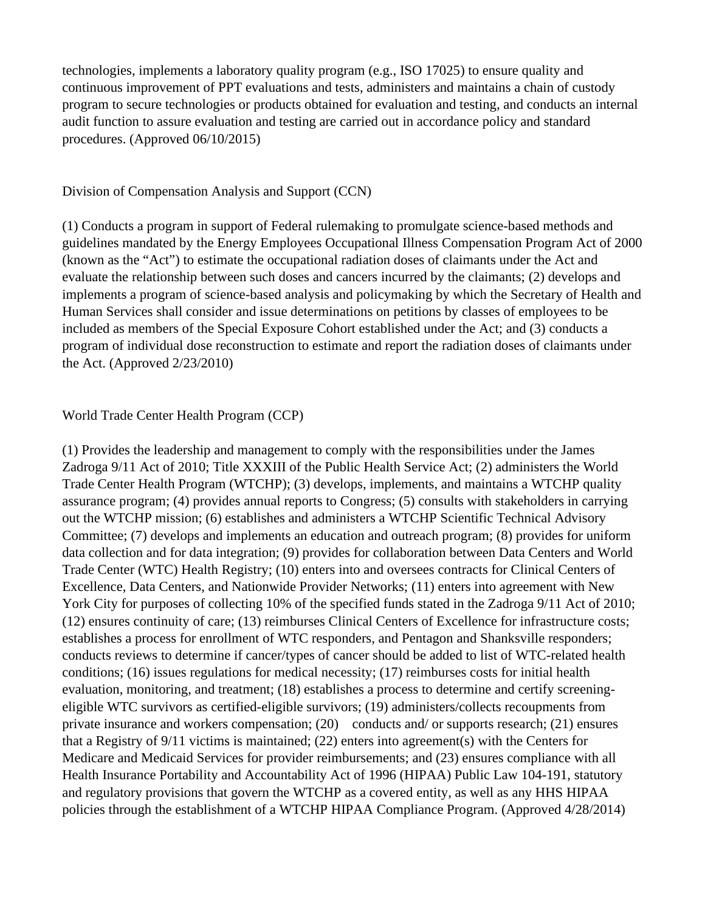technologies, implements a laboratory quality program (e.g., ISO 17025) to ensure quality and continuous improvement of PPT evaluations and tests, administers and maintains a chain of custody program to secure technologies or products obtained for evaluation and testing, and conducts an internal audit function to assure evaluation and testing are carried out in accordance policy and standard procedures. (Approved 06/10/2015)

#### Division of Compensation Analysis and Support (CCN)

(1) Conducts a program in support of Federal rulemaking to promulgate science-based methods and guidelines mandated by the Energy Employees Occupational Illness Compensation Program Act of 2000 (known as the "Act") to estimate the occupational radiation doses of claimants under the Act and evaluate the relationship between such doses and cancers incurred by the claimants; (2) develops and implements a program of science-based analysis and policymaking by which the Secretary of Health and Human Services shall consider and issue determinations on petitions by classes of employees to be included as members of the Special Exposure Cohort established under the Act; and (3) conducts a program of individual dose reconstruction to estimate and report the radiation doses of claimants under the Act. (Approved 2/23/2010)

#### World Trade Center Health Program (CCP)

(1) Provides the leadership and management to comply with the responsibilities under the James Zadroga 9/11 Act of 2010; Title XXXIII of the Public Health Service Act; (2) administers the World Trade Center Health Program (WTCHP); (3) develops, implements, and maintains a WTCHP quality assurance program; (4) provides annual reports to Congress; (5) consults with stakeholders in carrying out the WTCHP mission; (6) establishes and administers a WTCHP Scientific Technical Advisory Committee; (7) develops and implements an education and outreach program; (8) provides for uniform data collection and for data integration; (9) provides for collaboration between Data Centers and World Trade Center (WTC) Health Registry; (10) enters into and oversees contracts for Clinical Centers of Excellence, Data Centers, and Nationwide Provider Networks; (11) enters into agreement with New York City for purposes of collecting 10% of the specified funds stated in the Zadroga 9/11 Act of 2010; (12) ensures continuity of care; (13) reimburses Clinical Centers of Excellence for infrastructure costs; establishes a process for enrollment of WTC responders, and Pentagon and Shanksville responders; conducts reviews to determine if cancer/types of cancer should be added to list of WTC-related health conditions; (16) issues regulations for medical necessity; (17) reimburses costs for initial health evaluation, monitoring, and treatment; (18) establishes a process to determine and certify screeningeligible WTC survivors as certified-eligible survivors; (19) administers/collects recoupments from private insurance and workers compensation; (20) conducts and/ or supports research; (21) ensures that a Registry of 9/11 victims is maintained; (22) enters into agreement(s) with the Centers for Medicare and Medicaid Services for provider reimbursements; and (23) ensures compliance with all Health Insurance Portability and Accountability Act of 1996 (HIPAA) Public Law 104-191, statutory and regulatory provisions that govern the WTCHP as a covered entity, as well as any HHS HIPAA policies through the establishment of a WTCHP HIPAA Compliance Program. (Approved 4/28/2014)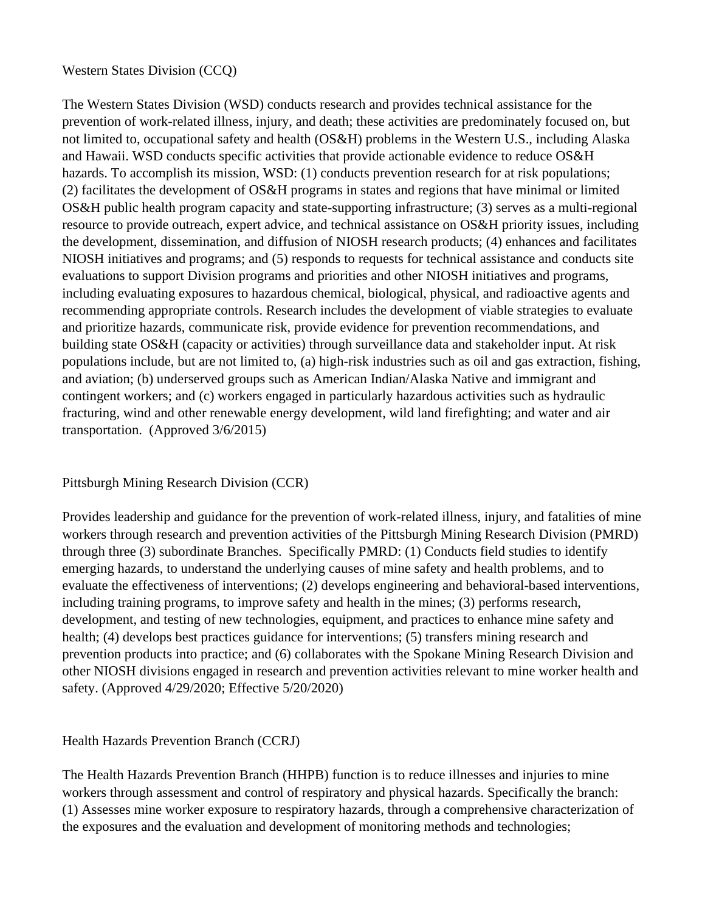#### Western States Division (CCQ)

The Western States Division (WSD) conducts research and provides technical assistance for the prevention of work-related illness, injury, and death; these activities are predominately focused on, but not limited to, occupational safety and health (OS&H) problems in the Western U.S., including Alaska and Hawaii. WSD conducts specific activities that provide actionable evidence to reduce OS&H hazards. To accomplish its mission, WSD: (1) conducts prevention research for at risk populations; (2) facilitates the development of OS&H programs in states and regions that have minimal or limited OS&H public health program capacity and state-supporting infrastructure; (3) serves as a multi-regional resource to provide outreach, expert advice, and technical assistance on OS&H priority issues, including the development, dissemination, and diffusion of NIOSH research products; (4) enhances and facilitates NIOSH initiatives and programs; and (5) responds to requests for technical assistance and conducts site evaluations to support Division programs and priorities and other NIOSH initiatives and programs, including evaluating exposures to hazardous chemical, biological, physical, and radioactive agents and recommending appropriate controls. Research includes the development of viable strategies to evaluate and prioritize hazards, communicate risk, provide evidence for prevention recommendations, and building state OS&H (capacity or activities) through surveillance data and stakeholder input. At risk populations include, but are not limited to, (a) high-risk industries such as oil and gas extraction, fishing, and aviation; (b) underserved groups such as American Indian/Alaska Native and immigrant and contingent workers; and (c) workers engaged in particularly hazardous activities such as hydraulic fracturing, wind and other renewable energy development, wild land firefighting; and water and air transportation. (Approved 3/6/2015)

### Pittsburgh Mining Research Division (CCR)

Provides leadership and guidance for the prevention of work-related illness, injury, and fatalities of mine workers through research and prevention activities of the Pittsburgh Mining Research Division (PMRD) through three (3) subordinate Branches. Specifically PMRD: (1) Conducts field studies to identify emerging hazards, to understand the underlying causes of mine safety and health problems, and to evaluate the effectiveness of interventions; (2) develops engineering and behavioral-based interventions, including training programs, to improve safety and health in the mines; (3) performs research, development, and testing of new technologies, equipment, and practices to enhance mine safety and health; (4) develops best practices guidance for interventions; (5) transfers mining research and prevention products into practice; and (6) collaborates with the Spokane Mining Research Division and other NIOSH divisions engaged in research and prevention activities relevant to mine worker health and safety. (Approved 4/29/2020; Effective 5/20/2020)

### Health Hazards Prevention Branch (CCRJ)

The Health Hazards Prevention Branch (HHPB) function is to reduce illnesses and injuries to mine workers through assessment and control of respiratory and physical hazards. Specifically the branch: (1) Assesses mine worker exposure to respiratory hazards, through a comprehensive characterization of the exposures and the evaluation and development of monitoring methods and technologies;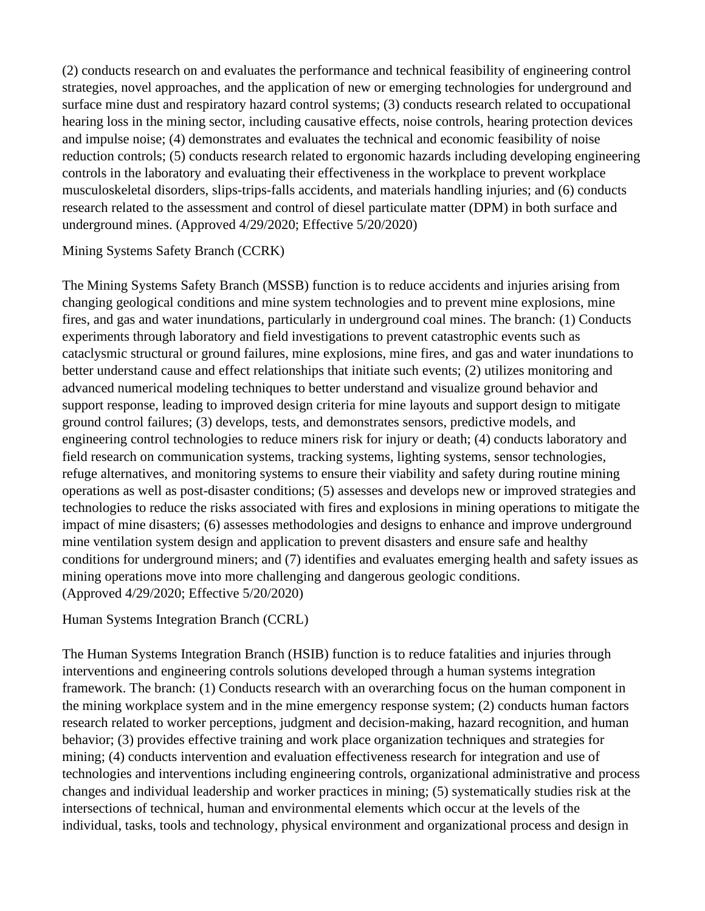(2) conducts research on and evaluates the performance and technical feasibility of engineering control strategies, novel approaches, and the application of new or emerging technologies for underground and surface mine dust and respiratory hazard control systems; (3) conducts research related to occupational hearing loss in the mining sector, including causative effects, noise controls, hearing protection devices and impulse noise; (4) demonstrates and evaluates the technical and economic feasibility of noise reduction controls; (5) conducts research related to ergonomic hazards including developing engineering controls in the laboratory and evaluating their effectiveness in the workplace to prevent workplace musculoskeletal disorders, slips-trips-falls accidents, and materials handling injuries; and (6) conducts research related to the assessment and control of diesel particulate matter (DPM) in both surface and underground mines. (Approved 4/29/2020; Effective 5/20/2020)

#### Mining Systems Safety Branch (CCRK)

The Mining Systems Safety Branch (MSSB) function is to reduce accidents and injuries arising from changing geological conditions and mine system technologies and to prevent mine explosions, mine fires, and gas and water inundations, particularly in underground coal mines. The branch: (1) Conducts experiments through laboratory and field investigations to prevent catastrophic events such as cataclysmic structural or ground failures, mine explosions, mine fires, and gas and water inundations to better understand cause and effect relationships that initiate such events; (2) utilizes monitoring and advanced numerical modeling techniques to better understand and visualize ground behavior and support response, leading to improved design criteria for mine layouts and support design to mitigate ground control failures; (3) develops, tests, and demonstrates sensors, predictive models, and engineering control technologies to reduce miners risk for injury or death; (4) conducts laboratory and field research on communication systems, tracking systems, lighting systems, sensor technologies, refuge alternatives, and monitoring systems to ensure their viability and safety during routine mining operations as well as post-disaster conditions; (5) assesses and develops new or improved strategies and technologies to reduce the risks associated with fires and explosions in mining operations to mitigate the impact of mine disasters; (6) assesses methodologies and designs to enhance and improve underground mine ventilation system design and application to prevent disasters and ensure safe and healthy conditions for underground miners; and (7) identifies and evaluates emerging health and safety issues as mining operations move into more challenging and dangerous geologic conditions. (Approved 4/29/2020; Effective 5/20/2020)

Human Systems Integration Branch (CCRL)

The Human Systems Integration Branch (HSIB) function is to reduce fatalities and injuries through interventions and engineering controls solutions developed through a human systems integration framework. The branch: (1) Conducts research with an overarching focus on the human component in the mining workplace system and in the mine emergency response system; (2) conducts human factors research related to worker perceptions, judgment and decision-making, hazard recognition, and human behavior; (3) provides effective training and work place organization techniques and strategies for mining; (4) conducts intervention and evaluation effectiveness research for integration and use of technologies and interventions including engineering controls, organizational administrative and process changes and individual leadership and worker practices in mining; (5) systematically studies risk at the intersections of technical, human and environmental elements which occur at the levels of the individual, tasks, tools and technology, physical environment and organizational process and design in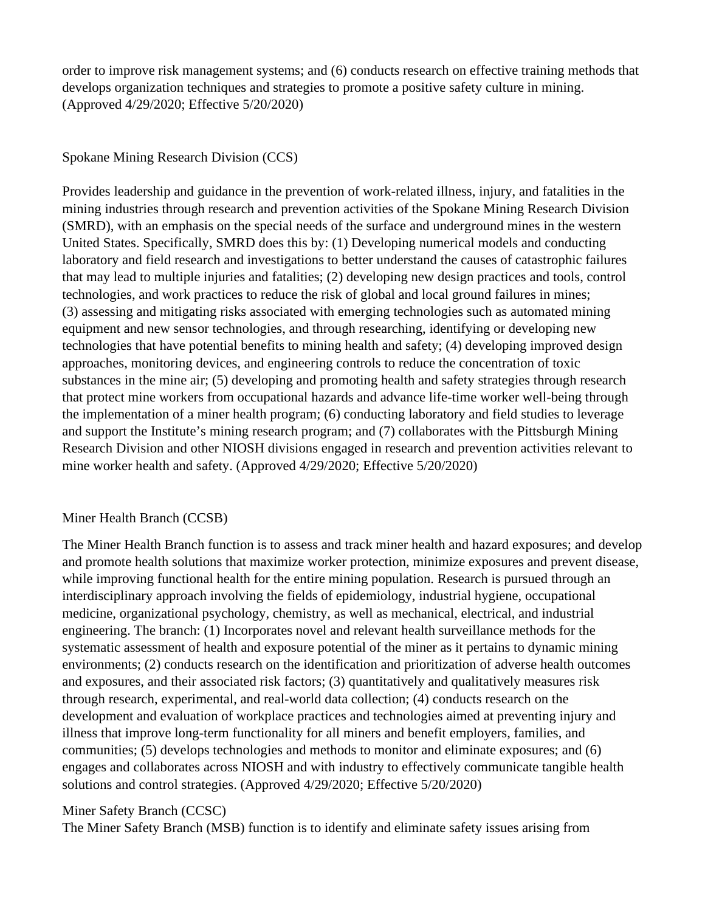order to improve risk management systems; and (6) conducts research on effective training methods that develops organization techniques and strategies to promote a positive safety culture in mining. (Approved 4/29/2020; Effective 5/20/2020)

### Spokane Mining Research Division (CCS)

Provides leadership and guidance in the prevention of work-related illness, injury, and fatalities in the mining industries through research and prevention activities of the Spokane Mining Research Division (SMRD), with an emphasis on the special needs of the surface and underground mines in the western United States. Specifically, SMRD does this by: (1) Developing numerical models and conducting laboratory and field research and investigations to better understand the causes of catastrophic failures that may lead to multiple injuries and fatalities; (2) developing new design practices and tools, control technologies, and work practices to reduce the risk of global and local ground failures in mines; (3) assessing and mitigating risks associated with emerging technologies such as automated mining equipment and new sensor technologies, and through researching, identifying or developing new technologies that have potential benefits to mining health and safety; (4) developing improved design approaches, monitoring devices, and engineering controls to reduce the concentration of toxic substances in the mine air; (5) developing and promoting health and safety strategies through research that protect mine workers from occupational hazards and advance life-time worker well-being through the implementation of a miner health program; (6) conducting laboratory and field studies to leverage and support the Institute's mining research program; and (7) collaborates with the Pittsburgh Mining Research Division and other NIOSH divisions engaged in research and prevention activities relevant to mine worker health and safety. (Approved 4/29/2020; Effective 5/20/2020)

# Miner Health Branch (CCSB)

The Miner Health Branch function is to assess and track miner health and hazard exposures; and develop and promote health solutions that maximize worker protection, minimize exposures and prevent disease, while improving functional health for the entire mining population. Research is pursued through an interdisciplinary approach involving the fields of epidemiology, industrial hygiene, occupational medicine, organizational psychology, chemistry, as well as mechanical, electrical, and industrial engineering. The branch: (1) Incorporates novel and relevant health surveillance methods for the systematic assessment of health and exposure potential of the miner as it pertains to dynamic mining environments; (2) conducts research on the identification and prioritization of adverse health outcomes and exposures, and their associated risk factors; (3) quantitatively and qualitatively measures risk through research, experimental, and real-world data collection; (4) conducts research on the development and evaluation of workplace practices and technologies aimed at preventing injury and illness that improve long-term functionality for all miners and benefit employers, families, and communities; (5) develops technologies and methods to monitor and eliminate exposures; and (6) engages and collaborates across NIOSH and with industry to effectively communicate tangible health solutions and control strategies. (Approved 4/29/2020; Effective 5/20/2020)

# Miner Safety Branch (CCSC)

The Miner Safety Branch (MSB) function is to identify and eliminate safety issues arising from